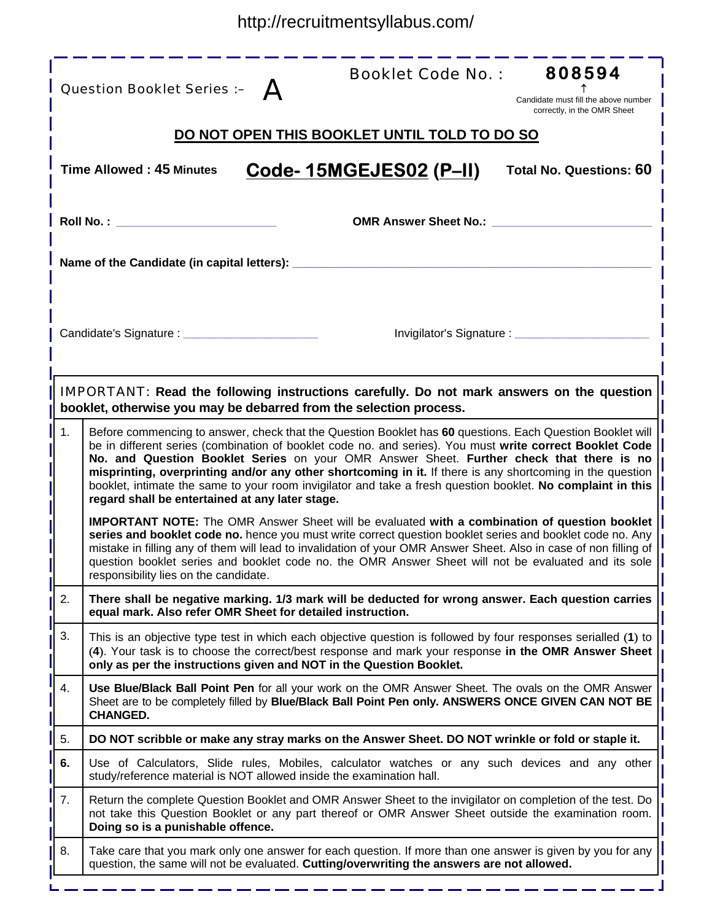|    | 808594<br><b>Booklet Code No.:</b><br>Question Booklet Series :- A<br>Candidate must fill the above number<br>correctly, in the OMR Sheet                                                                                                                                                                                                                                                                                                                                                                                                                                                        |
|----|--------------------------------------------------------------------------------------------------------------------------------------------------------------------------------------------------------------------------------------------------------------------------------------------------------------------------------------------------------------------------------------------------------------------------------------------------------------------------------------------------------------------------------------------------------------------------------------------------|
|    | DO NOT OPEN THIS BOOKLET UNTIL TOLD TO DO SO                                                                                                                                                                                                                                                                                                                                                                                                                                                                                                                                                     |
|    | Code-15MGEJES02 (P-II)<br><b>Time Allowed: 45 Minutes</b><br><b>Total No. Questions: 60</b>                                                                                                                                                                                                                                                                                                                                                                                                                                                                                                      |
|    | Roll No. : The contract of the contract of the contract of the contract of the contract of the contract of the<br><b>OMR Answer Sheet No.:</b>                                                                                                                                                                                                                                                                                                                                                                                                                                                   |
|    | Name of the Candidate (in capital letters):                                                                                                                                                                                                                                                                                                                                                                                                                                                                                                                                                      |
|    | Candidate's Signature : _________________________<br>Invigilator's Signature : ____________                                                                                                                                                                                                                                                                                                                                                                                                                                                                                                      |
|    | <b>IMPORTANT:</b> Read the following instructions carefully. Do not mark answers on the question<br>booklet, otherwise you may be debarred from the selection process.                                                                                                                                                                                                                                                                                                                                                                                                                           |
| 1. | Before commencing to answer, check that the Question Booklet has 60 questions. Each Question Booklet will<br>be in different series (combination of booklet code no. and series). You must write correct Booklet Code<br>No. and Question Booklet Series on your OMR Answer Sheet. Further check that there is no<br>misprinting, overprinting and/or any other shortcoming in it. If there is any shortcoming in the question<br>booklet, intimate the same to your room invigilator and take a fresh question booklet. No complaint in this<br>regard shall be entertained at any later stage. |
|    | <b>IMPORTANT NOTE:</b> The OMR Answer Sheet will be evaluated with a combination of question booklet<br>series and booklet code no. hence you must write correct question booklet series and booklet code no. Any<br>mistake in filling any of them will lead to invalidation of your OMR Answer Sheet. Also in case of non filling of<br>question booklet series and booklet code no. the OMR Answer Sheet will not be evaluated and its sole<br>responsibility lies on the candidate.                                                                                                          |
| 2. | There shall be negative marking. 1/3 mark will be deducted for wrong answer. Each question carries<br>equal mark. Also refer OMR Sheet for detailed instruction.                                                                                                                                                                                                                                                                                                                                                                                                                                 |
| 3. | This is an objective type test in which each objective question is followed by four responses serialled (1) to<br>(4). Your task is to choose the correct/best response and mark your response in the OMR Answer Sheet<br>only as per the instructions given and NOT in the Question Booklet.                                                                                                                                                                                                                                                                                                    |
| 4. | Use Blue/Black Ball Point Pen for all your work on the OMR Answer Sheet. The ovals on the OMR Answer<br>Sheet are to be completely filled by Blue/Black Ball Point Pen only. ANSWERS ONCE GIVEN CAN NOT BE<br><b>CHANGED.</b>                                                                                                                                                                                                                                                                                                                                                                    |
| 5. | DO NOT scribble or make any stray marks on the Answer Sheet. DO NOT wrinkle or fold or staple it.                                                                                                                                                                                                                                                                                                                                                                                                                                                                                                |
| 6. | Use of Calculators, Slide rules, Mobiles, calculator watches or any such devices and any other<br>study/reference material is NOT allowed inside the examination hall.                                                                                                                                                                                                                                                                                                                                                                                                                           |
| 7. | Return the complete Question Booklet and OMR Answer Sheet to the invigilator on completion of the test. Do<br>not take this Question Booklet or any part thereof or OMR Answer Sheet outside the examination room.<br>Doing so is a punishable offence.                                                                                                                                                                                                                                                                                                                                          |
| 8. | Take care that you mark only one answer for each question. If more than one answer is given by you for any<br>question, the same will not be evaluated. Cutting/overwriting the answers are not allowed.                                                                                                                                                                                                                                                                                                                                                                                         |

-------------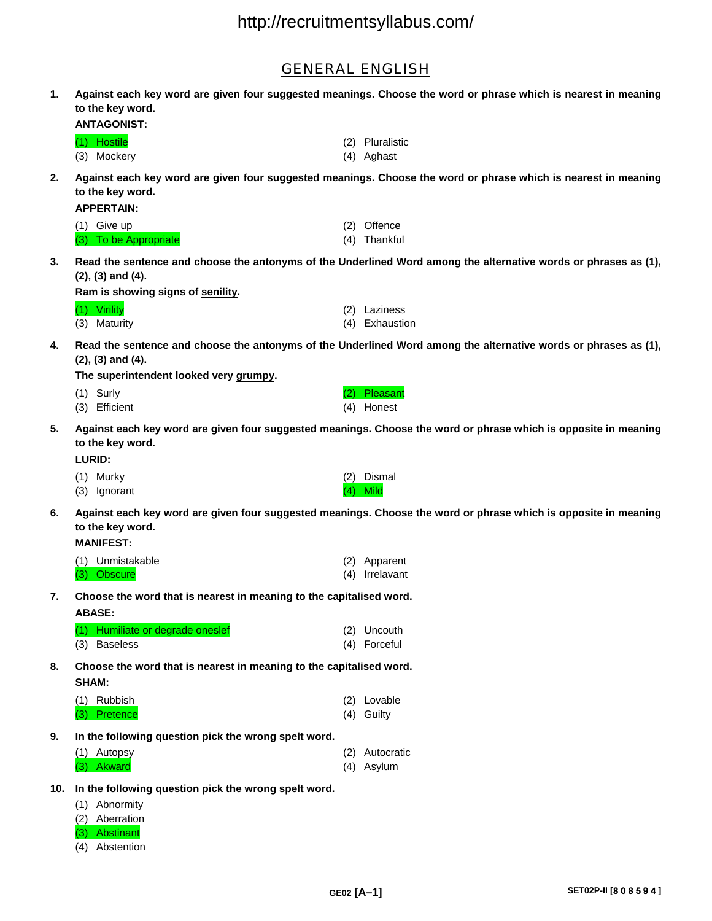## GENERAL ENGLISH

**1. Against each key word are given four suggested meanings. Choose the word or phrase which is nearest in meaning to the key word.** 

**ANTAGONIST:** 

| (1) Hostile | (2) Pluralistic |
|-------------|-----------------|
| (3) Mockery | (4) Aghast      |

**2. Against each key word are given four suggested meanings. Choose the word or phrase which is nearest in meaning to the key word.** 

**APPERTAIN:** 

| (1) Give up           | (2) Offence  |
|-----------------------|--------------|
| (3) To be Appropriate | (4) Thankful |

**3. Read the sentence and choose the antonyms of the Underlined Word among the alternative words or phrases as (1), (2), (3) and (4).** 

**Ram is showing signs of senility.** 

| (1) Virility | (2) Laziness   |
|--------------|----------------|
| (3) Maturity | (4) Exhaustion |

**4. Read the sentence and choose the antonyms of the Underlined Word among the alternative words or phrases as (1), (2), (3) and (4).** 

**The superintendent looked very grumpy.** 

- (1) Surly (2) Pleasant (3) Efficient (4) Honest
- 
- **5. Against each key word are given four suggested meanings. Choose the word or phrase which is opposite in meaning to the key word.**

**LURID:** 

- (1) Murky (2) Dismal (3) Ignorant (4) Mild
- **6. Against each key word are given four suggested meanings. Choose the word or phrase which is opposite in meaning to the key word.**

### **MANIFEST:**

| (1) Unmistakable | (2) Apparent   |
|------------------|----------------|
| (3) Obscure      | (4) Irrelavant |

**7. Choose the word that is nearest in meaning to the capitalised word. ABASE:**

| (1) Humiliate or degrade oneslef | (2) Uncouth  |
|----------------------------------|--------------|
| (3) Baseless                     | (4) Forceful |

**8. Choose the word that is nearest in meaning to the capitalised word. SHAM:** 

| (1) Rubbish  | (2) Lovable |
|--------------|-------------|
| (3) Pretence | (4) Guilty  |

**9. In the following question pick the wrong spelt word.** 

| (1) Autopsy | (2) Autocratic |
|-------------|----------------|
| (3) Akward  | (4) Asylum     |

- **10. In the following question pick the wrong spelt word.** 
	- (1) Abnormity
	- (2) Aberration
	- (3) Abstinant
	- (4) Abstention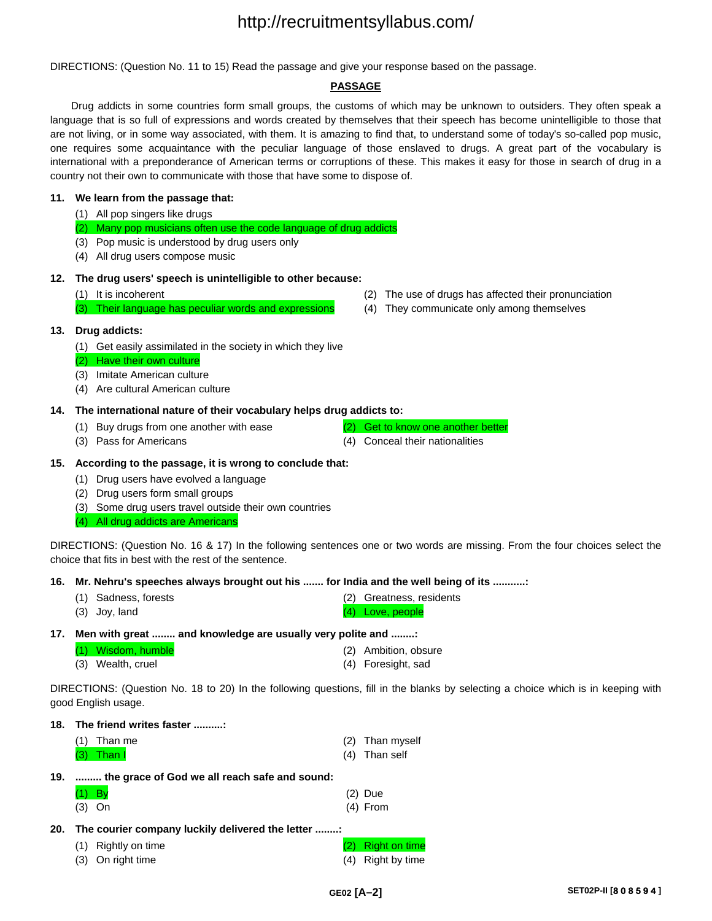DIRECTIONS: (Question No. 11 to 15) Read the passage and give your response based on the passage.

### **PASSAGE**

Drug addicts in some countries form small groups, the customs of which may be unknown to outsiders. They often speak a language that is so full of expressions and words created by themselves that their speech has become unintelligible to those that are not living, or in some way associated, with them. It is amazing to find that, to understand some of today's so-called pop music, one requires some acquaintance with the peculiar language of those enslaved to drugs. A great part of the vocabulary is international with a preponderance of American terms or corruptions of these. This makes it easy for those in search of drug in a country not their own to communicate with those that have some to dispose of.

### **11. We learn from the passage that:**

- (1) All pop singers like drugs
- (2) Many pop musicians often use the code language of drug addicts
- (3) Pop music is understood by drug users only
- (4) All drug users compose music

#### **12. The drug users' speech is unintelligible to other because:**

(3) Their language has peculiar words and expressions (4) They communicate only among themselves

#### **13. Drug addicts:**

- (1) Get easily assimilated in the society in which they live
- (2) Have their own culture
- (3) Imitate American culture
- (4) Are cultural American culture

#### **14. The international nature of their vocabulary helps drug addicts to:**

- (1) Buy drugs from one another with ease (2) Get to know one another better
- 

(3) Pass for Americans (4) Conceal their nationalities

### **15. According to the passage, it is wrong to conclude that:**

- (1) Drug users have evolved a language
- (2) Drug users form small groups
- (3) Some drug users travel outside their own countries
- (4) All drug addicts are Americans

DIRECTIONS: (Question No. 16 & 17) In the following sentences one or two words are missing. From the four choices select the choice that fits in best with the rest of the sentence.

**16. Mr. Nehru's speeches always brought out his ....... for India and the well being of its ...........:** 

- (1) Sadness, forests (2) Greatness, residents (3) Joy, land (3) Cove, people
- **17. Men with great ........ and knowledge are usually very polite and ........:**

| (1) Wisdom, humble | (2) Ambition, obsure |
|--------------------|----------------------|
| (3) Wealth, cruel  | (4) Foresight, sad   |

DIRECTIONS: (Question No. 18 to 20) In the following questions, fill in the blanks by selecting a choice which is in keeping with good English usage.

| The friend writes faster<br>18. |                                                  |     |                      |  |  |
|---------------------------------|--------------------------------------------------|-----|----------------------|--|--|
|                                 | Than me                                          | (2) | Than myself          |  |  |
|                                 | (3)<br>Than I                                    | (4) | Than self            |  |  |
| 19.                             | the grace of God we all reach safe and sound:    |     |                      |  |  |
|                                 | By                                               |     | (2) Due              |  |  |
|                                 | $(3)$ On                                         |     | $(4)$ From           |  |  |
| 20.                             | The courier company luckily delivered the letter |     |                      |  |  |
|                                 | Rightly on time<br>(1)                           |     | <b>Right on time</b> |  |  |
|                                 | On right time<br>(3)                             | (4) | Right by time        |  |  |

- (1) It is incoherent (2) The use of drugs has affected their pronunciation
	-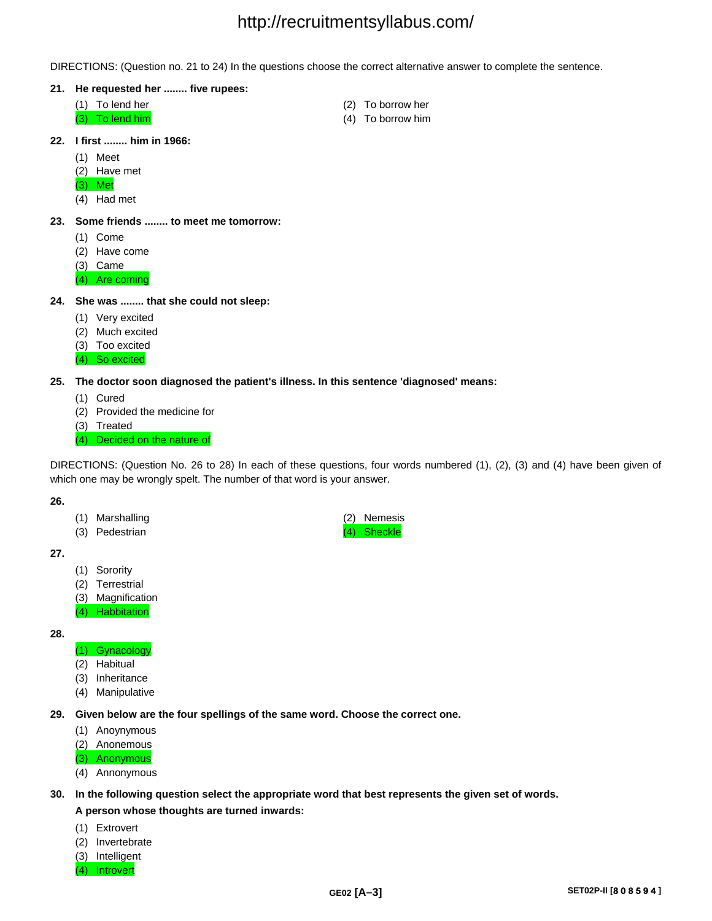DIRECTIONS: (Question no. 21 to 24) In the questions choose the correct alternative answer to complete the sentence.

- **21. He requested her ........ five rupees:** 
	- (1) To lend her (2) To borrow her
	-
- 
- (3) To lend him (4) To borrow him
- **22. I first ........ him in 1966:** 
	- (1) Meet
	- (2) Have met
	- (3) Met
	- (4) Had met
- **23. Some friends ........ to meet me tomorrow:**
	- (1) Come
	- (2) Have come
	- (3) Came
	- (4) Are coming
- **24. She was ........ that she could not sleep:** 
	- (1) Very excited
	- (2) Much excited
	- (3) Too excited
	- (4) So excited
- **25. The doctor soon diagnosed the patient's illness. In this sentence 'diagnosed' means:** 
	- (1) Cured
	- (2) Provided the medicine for
	- (3) Treated
	- (4) Decided on the nature of

DIRECTIONS: (Question No. 26 to 28) In each of these questions, four words numbered (1), (2), (3) and (4) have been given of which one may be wrongly spelt. The number of that word is your answer.

#### **26.**

- (1) Marshalling (2) Nemesis
- (3) Pedestrian (3) Sheckle

## **27.**

- (1) Sorority
- (2) Terrestrial
- (3) Magnification
- (4) Habbitation

## **28.**

- (1) Gynacology
- (2) Habitual
- (3) Inheritance
- (4) Manipulative

**29. Given below are the four spellings of the same word. Choose the correct one.** 

- (1) Anoynymous
- (2) Anonemous

(3) Anonymous

(4) Annonymous

### **30. In the following question select the appropriate word that best represents the given set of words.**

### **A person whose thoughts are turned inwards:**

- (1) Extrovert
- (2) Invertebrate
- (3) Intelligent
- (4) Introvert
- 
-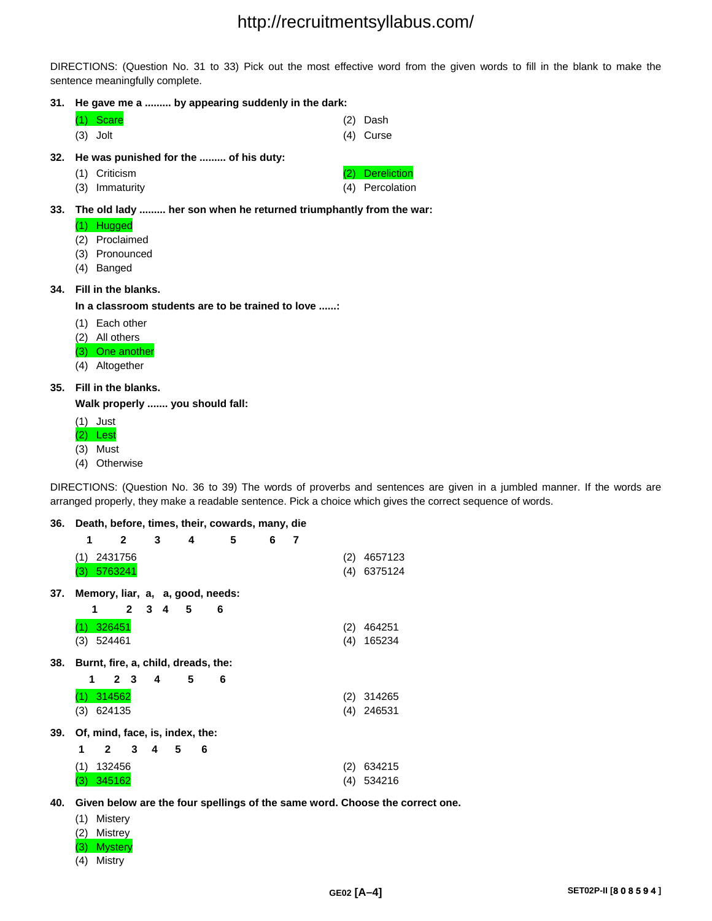DIRECTIONS: (Question No. 31 to 33) Pick out the most effective word from the given words to fill in the blank to make the sentence meaningfully complete.

## **31. He gave me a ......... by appearing suddenly in the dark:**

| He wee pupiehed for the | af hig dutu |             |
|-------------------------|-------------|-------------|
| $(3)$ Jolt              |             | $(4)$ Curse |
| $(1)$ Scare             |             | $(2)$ Dash  |

- **32. He was punished for the ......... of his duty:**
	- (1) Criticism (2) Dereliction
	- (3) Immaturity (4) Percolation
- **33. The old lady ......... her son when he returned triumphantly from the war:** 
	- (1) Hugged
	- (2) Proclaimed
	- (3) Pronounced
	- (4) Banged

## **34. Fill in the blanks.**

**In a classroom students are to be trained to love ......:** 

- (1) Each other
- (2) All others
- (3) One another
- (4) Altogether

## **35. Fill in the blanks.**

**Walk properly ....... you should fall:** 

- (1) Just
- (2) Lest
- (3) Must
- (4) Otherwise

DIRECTIONS: (Question No. 36 to 39) The words of proverbs and sentences are given in a jumbled manner. If the words are arranged properly, they make a readable sentence. Pick a choice which gives the correct sequence of words.

## **36. Death, before, times, their, cowards, many, die**

|     | 1   |              | 2              | 3                   | 4                                   | 5                                | 6 | 7 |     |         |  |
|-----|-----|--------------|----------------|---------------------|-------------------------------------|----------------------------------|---|---|-----|---------|--|
|     | (1) | 2431756      |                |                     |                                     |                                  |   |   | (2) | 4657123 |  |
|     | (3) | 5763241      |                |                     |                                     |                                  |   |   | (4) | 6375124 |  |
| 37. |     |              |                |                     |                                     | Memory, liar, a, a, good, needs: |   |   |     |         |  |
|     | 1   |              | $\mathbf{2}$   | 3 <sup>1</sup><br>4 | 5                                   | 6                                |   |   |     |         |  |
|     |     | 326451       |                |                     |                                     |                                  |   |   | (2) | 464251  |  |
|     | (3) | 524461       |                |                     |                                     |                                  |   |   | (4) | 165234  |  |
| 38. |     |              |                |                     | Burnt, fire, a, child, dreads, the: |                                  |   |   |     |         |  |
|     | 1   |              | 2 <sub>3</sub> | 4                   | 5                                   | 6                                |   |   |     |         |  |
|     | (1) | 314562       |                |                     |                                     |                                  |   |   | (2) | 314265  |  |
|     | (3) | 624135       |                |                     |                                     |                                  |   |   | (4) | 246531  |  |
| 39. |     |              |                |                     | Of, mind, face, is, index, the:     |                                  |   |   |     |         |  |
|     | 1   | $\mathbf{2}$ | 3              | 4                   | 5<br>6                              |                                  |   |   |     |         |  |
|     | (1) | 132456       |                |                     |                                     |                                  |   |   | (2) | 634215  |  |
|     | (3) | 345162       |                |                     |                                     |                                  |   |   | (4) | 534216  |  |

**40. Given below are the four spellings of the same word. Choose the correct one.** 

- (1) Mistery
- (2) Mistrey
- (3) Mystery
- (4) Mistry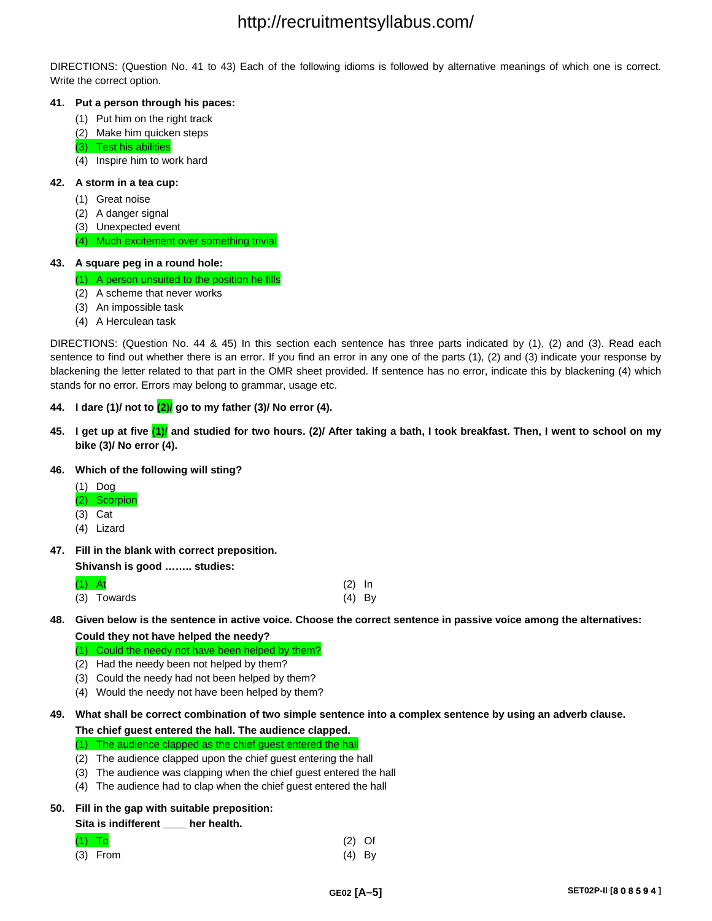DIRECTIONS: (Question No. 41 to 43) Each of the following idioms is followed by alternative meanings of which one is correct. Write the correct option.

### **41. Put a person through his paces:**

- (1) Put him on the right track
- (2) Make him quicken steps
- (3) Test his abilities
- (4) Inspire him to work hard

### **42. A storm in a tea cup:**

- (1) Great noise
- (2) A danger signal
- (3) Unexpected event

### (4) Much excitement over something trivial

### **43. A square peg in a round hole:**

(1) A person unsuited to the position he fills

- (2) A scheme that never works
- (3) An impossible task
- (4) A Herculean task

DIRECTIONS: (Question No. 44 & 45) In this section each sentence has three parts indicated by (1), (2) and (3). Read each sentence to find out whether there is an error. If you find an error in any one of the parts (1), (2) and (3) indicate your response by blackening the letter related to that part in the OMR sheet provided. If sentence has no error, indicate this by blackening (4) which stands for no error. Errors may belong to grammar, usage etc.

## **44. I dare (1)/ not to (2)/ go to my father (3)/ No error (4).**

**45. I get up at five (1)/ and studied for two hours. (2)/ After taking a bath, I took breakfast. Then, I went to school on my bike (3)/ No error (4).** 

### **46. Which of the following will sting?**

- (1) Dog (2) Scorpion (3) Cat
- 
- (4) Lizard
- **47. Fill in the blank with correct preposition.**

**Shivansh is good …….. studies:**

| $(1)$ At |             | $(2)$ In |  |
|----------|-------------|----------|--|
|          | (3) Towards | (4) By   |  |

## **48. Given below is the sentence in active voice. Choose the correct sentence in passive voice among the alternatives: Could they not have helped the needy?**

(1) Could the needy not have been helped by them?

- (2) Had the needy been not helped by them?
- (3) Could the needy had not been helped by them?
- (4) Would the needy not have been helped by them?
- **49. What shall be correct combination of two simple sentence into a complex sentence by using an adverb clause.**

**The chief guest entered the hall. The audience clapped.** 

### (1) The audience clapped as the chief guest entered the hall

- (2) The audience clapped upon the chief guest entering the hall
- (3) The audience was clapping when the chief guest entered the hall
- (4) The audience had to clap when the chief guest entered the hall

## **50. Fill in the gap with suitable preposition:**

### **Sita is indifferent \_\_\_\_ her health.**

| $(1)$ To   | $(2)$ Of |  |
|------------|----------|--|
| $(3)$ From | $(4)$ By |  |